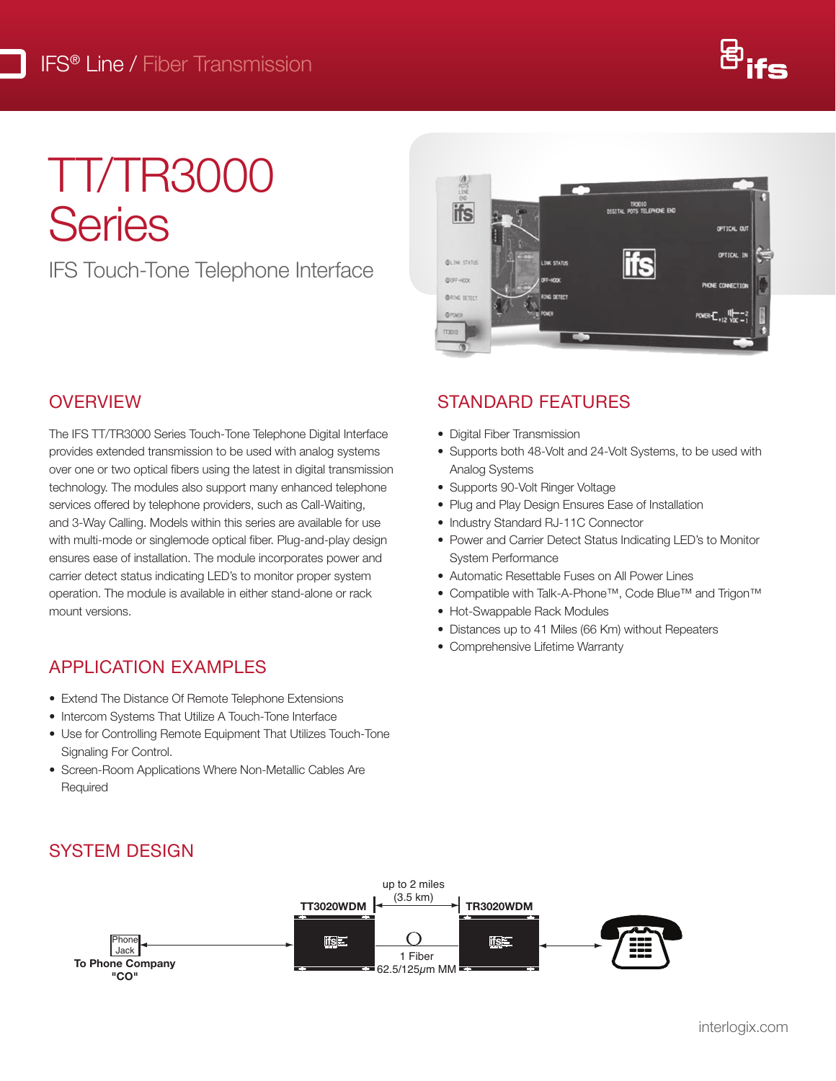

# TT/TR3000 **Series**  $T$

IFS Touch-Tone Telephone Interface



### **OVERVIEW**

 $\blacksquare$ 

 $\bullet$  Compatible with Talk-A-Phone™, Code Blue™ and Trigon™<br> $\bullet$  Hot-Swappable Rack Modules and 3-Way Calling. Models within this series are available for use carrier detect status indicating LED's to monitor proper system Automatic Resettable Fuses on All Power Lines<br>• Compatible with Talk-A-Phone™, Code Blue™ and The IFS TT/TR3000 Series Touch-Tone Telephone Digital Interface provides extended transmission to be used with analog systems over one or two optical fibers using the latest in digital transmission technology. The modules also support many enhanced telephone services offered by telephone providers, such as Call-Waiting, with multi-mode or singlemode optical fiber. Plug-and-play design ensures ease of installation. The module incorporates power and carrier detect status indicating LED's to monitor proper system mount versions.

### APPLICATION EXAMPLES

- Extend The Distance Of Remote Telephone Extensions<br>• Intercom Systems That Litilize A Touch-Tone Interface
	- Exterior the Bistance Of Herricte Telephone Exterision<br>• Intercom Systems That Utilize A Touch-Tone Interface
- Use for Controlling Remote Equipment That Utilizes Touch-Tone **transmission distribution distance is limited to optical loss of the fiber and any additional loss internal lo**<br>Connectors, splices and particular and particular and particular connections, splitch panels. And particular Signaling For Control.
- Screen-Room Applications Where Non-Metallic Cables Are Required

## $STANDARD$  FEATURES

- **•** Digital Fiber Transmission
- Supports both 48-Volt and 24-Volt Systems, to be used with Analog Systems
- Supports 90-Volt Ringer Voltage
- Plug and Play Design Ensures Ease of Installation
- Industry Standard RJ-11C Connector
- Power and Carrier Detect Status Indicating LED's to Monitor System Performance
- Automatic Resettable Fuses on All Power Lines
- 
- Hot-Swappable Rack Modules
- Distances up to 41 Miles (66 Km) without Repeaters
- Comprehensive Lifetime Warranty



## SYSTEM DESIGN SYSTEM DESIGN